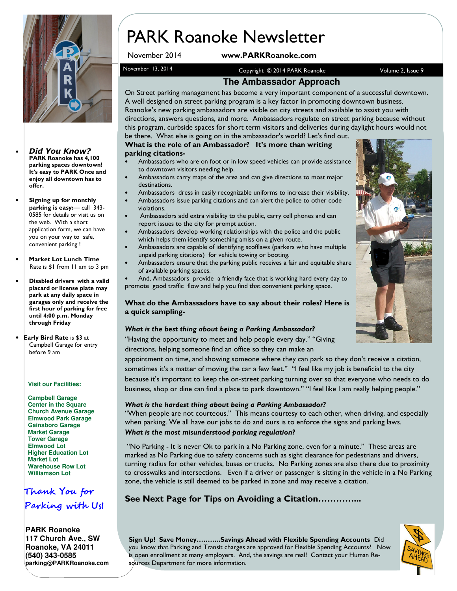

• Did You Know? PARK Roanoke has 4,100 parking spaces downtown! It's easy to PARK Once and enjoy all downtown has to offer.

- Signing up for monthly parking is easy:— call 343- 0585 for details or visit us on the web. With a short application form, we can have you on your way to safe, convenient parking !
- Market Lot Lunch Time Rate is \$1 from 11 am to 3 pm
- Disabled drivers with a valid placard or license plate may park at any daily space in garages only and receive the first hour of parking for free until 4:00 p.m. Monday through Friday
- Early Bird Rate is \$3 at Campbell Garage for entry before 9 am

#### **Visit our Facilities:**

**Campbell Garage Center in the Square Church Avenue Garage Elmwood Park Garage Gainsboro Garage Market Garage Tower Garage Elmwood Lot Higher Education Lot Market Lot Warehouse Row Lot Williamson Lot**

# Thank You for Parking with Us!

**PARK Roanoke 117 Church Ave., SW Roanoke, VA 24011 (540) 343-0585 parking@PARKRoanoke.com** 

# PARK Roanoke Newsletter

November 2014 www.PARKRoanoke.com

November 13, 2014 **Copyright © 2014 PARK Roanoke** Volume 2, Issue 9

#### **The Ambassador Approach**

On Street parking management has become a very important component of a successful downtown. A well designed on street parking program is a key factor in promoting downtown business. Roanoke's new parking ambassadors are visible on city streets and available to assist you with directions, answers questions, and more. Ambassadors regulate on street parking because without this program, curbside spaces for short term visitors and deliveries during daylight hours would not

#### be there. What else is going on in the ambassador's world? Let's find out. What is the role of an Ambassador? It's more than writing parking citations-

- Ambassadors who are on foot or in low speed vehicles can provide assistance to downtown visitors needing help.
- Ambassadors carry maps of the area and can give directions to most major destinations.
- Ambassadors dress in easily recognizable uniforms to increase their visibility.
- Ambassadors issue parking citations and can alert the police to other code violations.
- Ambassadors add extra visibility to the public, carry cell phones and can report issues to the city for prompt action.
- Ambassadors develop working relationships with the police and the public which helps them identify something amiss on a given route.
- Ambassadors are capable of identifying scofflaws (parkers who have multiple unpaid parking citations) for vehicle towing or booting.
- Ambassadors ensure that the parking public receives a fair and equitable share of available parking spaces.
- And, Ambassadors provide a friendly face that is working hard every day to promote good traffic flow and help you find that convenient parking space.

#### What do the Ambassadors have to say about their roles? Here is a quick sampling-

#### What is the best thing about being a Parking Ambassador?

"Having the opportunity to meet and help people every day." "Giving directions, helping someone find an office so they can make an

appointment on time, and showing someone where they can park so they don't receive a citation, sometimes it's a matter of moving the car a few feet." "I feel like my job is beneficial to the city because it's important to keep the on-street parking turning over so that everyone who needs to do business, shop or dine can find a place to park downtown." "I feel like I am really helping people."

#### What is the hardest thing about being a Parking Ambassador?

"When people are not courteous." This means courtesy to each other, when driving, and especially when parking. We all have our jobs to do and ours is to enforce the signs and parking laws. What is the most misunderstood parking regulation?

 "No Parking - It is never Ok to park in a No Parking zone, even for a minute." These areas are marked as No Parking due to safety concerns such as sight clearance for pedestrians and drivers, turning radius for other vehicles, buses or trucks. No Parking zones are also there due to proximity to crosswalks and intersections. Even if a driver or passenger is sitting in the vehicle in a No Parking zone, the vehicle is still deemed to be parked in zone and may receive a citation.

## See Next Page for Tips on Avoiding a Citation…………...

Sign Up! Save Money………..Savings Ahead with Flexible Spending Accounts Did you know that Parking and Transit charges are approved for Flexible Spending Accounts? Now is open enrollment at many employers. And, the savings are real! Contact your Human Resources Department for more information.